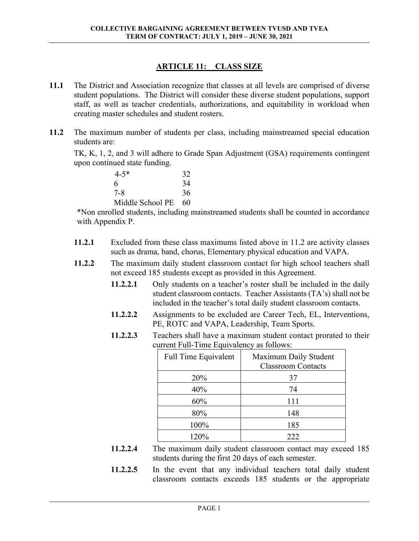## **ARTICLE 11: CLASS SIZE**

- **11.1** The District and Association recognize that classes at all levels are comprised of diverse student populations. The District will consider these diverse student populations, support staff, as well as teacher credentials, authorizations, and equitability in workload when creating master schedules and student rosters.
- **11.2** The maximum number of students per class, including mainstreamed special education students are:

TK, K, 1, 2, and 3 will adhere to Grade Span Adjustment (GSA) requirements contingent upon continued state funding.

| $4 - 5*$         | 32  |
|------------------|-----|
| 6                | 34  |
| 7-8              | 36  |
| Middle School PE | -60 |

\*Non enrolled students, including mainstreamed students shall be counted in accordance with Appendix P.

- **11.2.1** Excluded from these class maximums listed above in 11.2 are activity classes such as drama, band, chorus, Elementary physical education and VAPA.
- **11.2.2** The maximum daily student classroom contact for high school teachers shall not exceed 185 students except as provided in this Agreement.
	- **11.2.2.1** Only students on a teacher's roster shall be included in the daily student classroom contacts. Teacher Assistants (TA's) shall not be included in the teacher's total daily student classroom contacts.
	- **11.2.2.2** Assignments to be excluded are Career Tech, EL, Interventions, PE, ROTC and VAPA, Leadership, Team Sports.
	- **11.2.2.3** Teachers shall have a maximum student contact prorated to their current Full-Time Equivalency as follows:

| Full Time Equivalent | Maximum Daily Student<br><b>Classroom Contacts</b> |
|----------------------|----------------------------------------------------|
| 20%                  | 37                                                 |
| 40%                  | 74                                                 |
| 60%                  | 111                                                |
| 80%                  | 148                                                |
| 100%                 | 185                                                |
| 120%                 | 222                                                |

- **11.2.2.4** The maximum daily student classroom contact may exceed 185 students during the first 20 days of each semester.
- **11.2.2.5** In the event that any individual teachers total daily student classroom contacts exceeds 185 students or the appropriate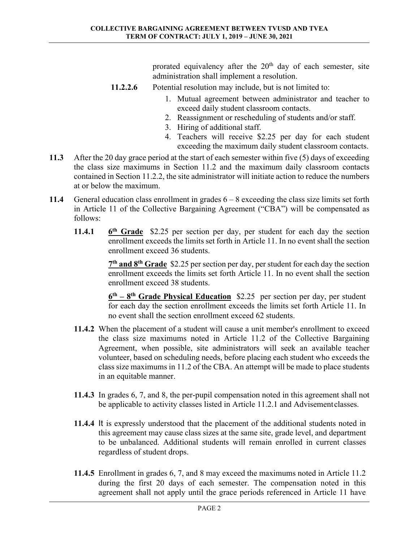prorated equivalency after the  $20<sup>th</sup>$  day of each semester, site administration shall implement a resolution.

- **11.2.2.6** Potential resolution may include, but is not limited to:
	- 1. Mutual agreement between administrator and teacher to exceed daily student classroom contacts.
	- 2. Reassignment or rescheduling of students and/or staff.
	- 3. Hiring of additional staff.
	- 4. Teachers will receive \$2.25 per day for each student exceeding the maximum daily student classroom contacts.
- **11.3** After the 20 day grace period at the start of each semester within five (5) days of exceeding the class size maximums in Section 11.2 and the maximum daily classroom contacts contained in Section 11.2.2, the site administrator will initiate action to reduce the numbers at or below the maximum.
- **11.4** General education class enrollment in grades 6 8 exceeding the class size limits set forth in Article 11 of the Collective Bargaining Agreement ("CBA") will be compensated as follows:
	- **11.4.1 6th Grade** \$2.25 per section per day, per student for each day the section enrollment exceeds the limits set forth in Article 11. In no event shall the section enrollment exceed 36 students.

 **7th and 8th Grade** \$2.25 per section per day, per student for each day the section enrollment exceeds the limits set forth Article 11. In no event shall the section enrollment exceed 38 students.

**6th – 8th Grade Physical Education** \$2.25 per section per day, per student for each day the section enrollment exceeds the limits set forth Article 11. In no event shall the section enrollment exceed 62 students.

- **11.4.2** When the placement of a student will cause a unit member's enrollment to exceed the class size maximums noted in Article 11.2 of the Collective Bargaining Agreement, when possible, site administrators will seek an available teacher volunteer, based on scheduling needs, before placing each student who exceeds the class size maximums in 11.2 of the CBA. An attempt will be made to place students in an equitable manner.
- **11.4.3** In grades 6, 7, and 8, the per-pupil compensation noted in this agreement shall not be applicable to activity classes listed in Article 11.2.1 and Advisement classes.
- **11.4.4** It is expressly understood that the placement of the additional students noted in this agreement may cause class sizes at the same site, grade level, and department to be unbalanced. Additional students will remain enrolled in current classes regardless of student drops.
- **11.4.5** Enrollment in grades 6, 7, and 8 may exceed the maximums noted in Article 11.2 during the first 20 days of each semester. The compensation noted in this agreement shall not apply until the grace periods referenced in Article 11 have